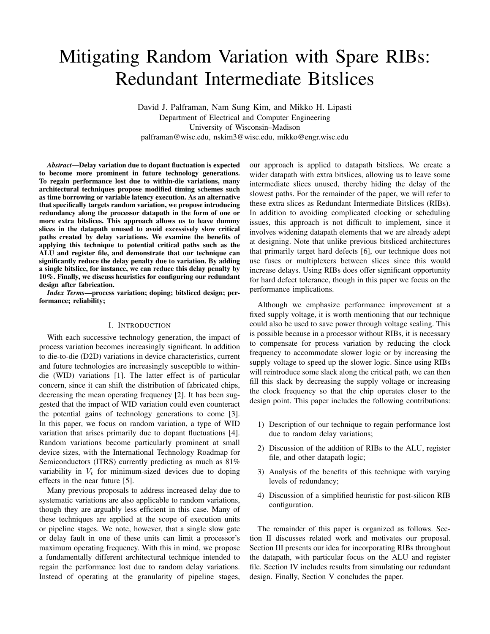# Mitigating Random Variation with Spare RIBs: Redundant Intermediate Bitslices

David J. Palframan, Nam Sung Kim, and Mikko H. Lipasti Department of Electrical and Computer Engineering University of Wisconsin–Madison palframan@wisc.edu, nskim3@wisc.edu, mikko@engr.wisc.edu

*Abstract*—Delay variation due to dopant fluctuation is expected to become more prominent in future technology generations. To regain performance lost due to within-die variations, many architectural techniques propose modified timing schemes such as time borrowing or variable latency execution. As an alternative that specifically targets random variation, we propose introducing redundancy along the processor datapath in the form of one or more extra bitslices. This approach allows us to leave dummy slices in the datapath unused to avoid excessively slow critical paths created by delay variations. We examine the benefits of applying this technique to potential critical paths such as the ALU and register file, and demonstrate that our technique can significantly reduce the delay penalty due to variation. By adding a single bitslice, for instance, we can reduce this delay penalty by 10%. Finally, we discuss heuristics for configuring our redundant design after fabrication.

*Index Terms*—process variation; doping; bitsliced design; performance; reliability;

## I. INTRODUCTION

With each successive technology generation, the impact of process variation becomes increasingly significant. In addition to die-to-die (D2D) variations in device characteristics, current and future technologies are increasingly susceptible to withindie (WID) variations [1]. The latter effect is of particular concern, since it can shift the distribution of fabricated chips, decreasing the mean operating frequency [2]. It has been suggested that the impact of WID variation could even counteract the potential gains of technology generations to come [3]. In this paper, we focus on random variation, a type of WID variation that arises primarily due to dopant fluctuations [4]. Random variations become particularly prominent at small device sizes, with the International Technology Roadmap for Semiconductors (ITRS) currently predicting as much as 81% variability in  $V_t$  for minimum-sized devices due to doping effects in the near future [5].

Many previous proposals to address increased delay due to systematic variations are also applicable to random variations, though they are arguably less efficient in this case. Many of these techniques are applied at the scope of execution units or pipeline stages. We note, however, that a single slow gate or delay fault in one of these units can limit a processor's maximum operating frequency. With this in mind, we propose a fundamentally different architectural technique intended to regain the performance lost due to random delay variations. Instead of operating at the granularity of pipeline stages, our approach is applied to datapath bitslices. We create a wider datapath with extra bitslices, allowing us to leave some intermediate slices unused, thereby hiding the delay of the slowest paths. For the remainder of the paper, we will refer to these extra slices as Redundant Intermediate Bitslices (RIBs). In addition to avoiding complicated clocking or scheduling issues, this approach is not difficult to implement, since it involves widening datapath elements that we are already adept at designing. Note that unlike previous bitsliced architectures that primarily target hard defects [6], our technique does not use fuses or multiplexers between slices since this would increase delays. Using RIBs does offer significant opportunity for hard defect tolerance, though in this paper we focus on the performance implications.

Although we emphasize performance improvement at a fixed supply voltage, it is worth mentioning that our technique could also be used to save power through voltage scaling. This is possible because in a processor without RIBs, it is necessary to compensate for process variation by reducing the clock frequency to accommodate slower logic or by increasing the supply voltage to speed up the slower logic. Since using RIBs will reintroduce some slack along the critical path, we can then fill this slack by decreasing the supply voltage or increasing the clock frequency so that the chip operates closer to the design point. This paper includes the following contributions:

- 1) Description of our technique to regain performance lost due to random delay variations;
- 2) Discussion of the addition of RIBs to the ALU, register file, and other datapath logic;
- 3) Analysis of the benefits of this technique with varying levels of redundancy;
- 4) Discussion of a simplified heuristic for post-silicon RIB configuration.

The remainder of this paper is organized as follows. Section II discusses related work and motivates our proposal. Section III presents our idea for incorporating RIBs throughout the datapath, with particular focus on the ALU and register file. Section IV includes results from simulating our redundant design. Finally, Section V concludes the paper.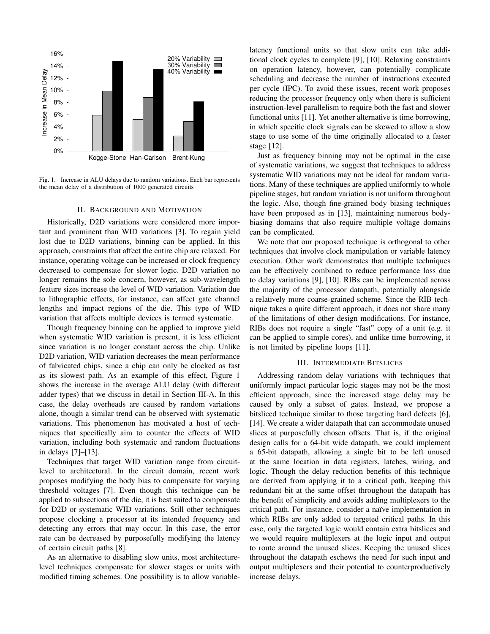

Fig. 1. Increase in ALU delays due to random variations. Each bar represents the mean delay of a distribution of 1000 generated circuits

#### II. BACKGROUND AND MOTIVATION

Historically, D2D variations were considered more important and prominent than WID variations [3]. To regain yield lost due to D2D variations, binning can be applied. In this approach, constraints that affect the entire chip are relaxed. For instance, operating voltage can be increased or clock frequency decreased to compensate for slower logic. D2D variation no longer remains the sole concern, however, as sub-wavelength feature sizes increase the level of WID variation. Variation due to lithographic effects, for instance, can affect gate channel lengths and impact regions of the die. This type of WID variation that affects multiple devices is termed systematic.

Though frequency binning can be applied to improve yield when systematic WID variation is present, it is less efficient since variation is no longer constant across the chip. Unlike D2D variation, WID variation decreases the mean performance of fabricated chips, since a chip can only be clocked as fast as its slowest path. As an example of this effect, Figure 1 shows the increase in the average ALU delay (with different adder types) that we discuss in detail in Section III-A. In this case, the delay overheads are caused by random variations alone, though a similar trend can be observed with systematic variations. This phenomenon has motivated a host of techniques that specifically aim to counter the effects of WID variation, including both systematic and random fluctuations in delays [7]–[13].

Techniques that target WID variation range from circuitlevel to architectural. In the circuit domain, recent work proposes modifying the body bias to compensate for varying threshold voltages [7]. Even though this technique can be applied to subsections of the die, it is best suited to compensate for D2D or systematic WID variations. Still other techniques propose clocking a processor at its intended frequency and detecting any errors that may occur. In this case, the error rate can be decreased by purposefully modifying the latency of certain circuit paths [8].

As an alternative to disabling slow units, most architecturelevel techniques compensate for slower stages or units with modified timing schemes. One possibility is to allow variablelatency functional units so that slow units can take additional clock cycles to complete [9], [10]. Relaxing constraints on operation latency, however, can potentially complicate scheduling and decrease the number of instructions executed per cycle (IPC). To avoid these issues, recent work proposes reducing the processor frequency only when there is sufficient instruction-level parallelism to require both the fast and slower functional units [11]. Yet another alternative is time borrowing, in which specific clock signals can be skewed to allow a slow stage to use some of the time originally allocated to a faster stage [12].

Just as frequency binning may not be optimal in the case of systematic variations, we suggest that techniques to address systematic WID variations may not be ideal for random variations. Many of these techniques are applied uniformly to whole pipeline stages, but random variation is not uniform throughout the logic. Also, though fine-grained body biasing techniques have been proposed as in [13], maintaining numerous bodybiasing domains that also require multiple voltage domains can be complicated.

We note that our proposed technique is orthogonal to other techniques that involve clock manipulation or variable latency execution. Other work demonstrates that multiple techniques can be effectively combined to reduce performance loss due to delay variations [9], [10]. RIBs can be implemented across the majority of the processor datapath, potentially alongside a relatively more coarse-grained scheme. Since the RIB technique takes a quite different approach, it does not share many of the limitations of other design modifications. For instance, RIBs does not require a single "fast" copy of a unit (e.g. it can be applied to simple cores), and unlike time borrowing, it is not limited by pipeline loops [11].

#### III. INTERMEDIATE BITSLICES

Addressing random delay variations with techniques that uniformly impact particular logic stages may not be the most efficient approach, since the increased stage delay may be caused by only a subset of gates. Instead, we propose a bitsliced technique similar to those targeting hard defects [6], [14]. We create a wider datapath that can accommodate unused slices at purposefully chosen offsets. That is, if the original design calls for a 64-bit wide datapath, we could implement a 65-bit datapath, allowing a single bit to be left unused at the same location in data registers, latches, wiring, and logic. Though the delay reduction benefits of this technique are derived from applying it to a critical path, keeping this redundant bit at the same offset throughout the datapath has the benefit of simplicity and avoids adding multiplexers to the critical path. For instance, consider a naïve implementation in which RIBs are only added to targeted critical paths. In this case, only the targeted logic would contain extra bitslices and we would require multiplexers at the logic input and output to route around the unused slices. Keeping the unused slices throughout the datapath eschews the need for such input and output multiplexers and their potential to counterproductively increase delays.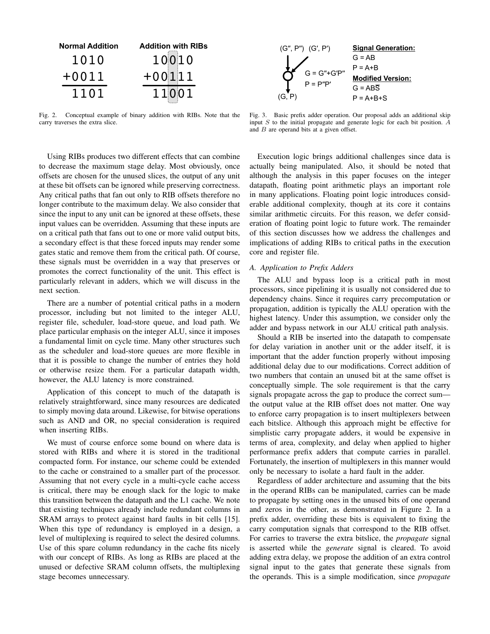

Fig. 2. Conceptual example of binary addition with RIBs. Note that the carry traverses the extra slice.

Using RIBs produces two different effects that can combine to decrease the maximum stage delay. Most obviously, once offsets are chosen for the unused slices, the output of any unit at these bit offsets can be ignored while preserving correctness. Any critical paths that fan out only to RIB offsets therefore no longer contribute to the maximum delay. We also consider that since the input to any unit can be ignored at these offsets, these input values can be overridden. Assuming that these inputs are on a critical path that fans out to one or more valid output bits, a secondary effect is that these forced inputs may render some gates static and remove them from the critical path. Of course, these signals must be overridden in a way that preserves or promotes the correct functionality of the unit. This effect is particularly relevant in adders, which we will discuss in the next section.

There are a number of potential critical paths in a modern processor, including but not limited to the integer ALU, register file, scheduler, load-store queue, and load path. We place particular emphasis on the integer ALU, since it imposes a fundamental limit on cycle time. Many other structures such as the scheduler and load-store queues are more flexible in that it is possible to change the number of entries they hold or otherwise resize them. For a particular datapath width, however, the ALU latency is more constrained.

Application of this concept to much of the datapath is relatively straightforward, since many resources are dedicated to simply moving data around. Likewise, for bitwise operations such as AND and OR, no special consideration is required when inserting RIBs.

We must of course enforce some bound on where data is stored with RIBs and where it is stored in the traditional compacted form. For instance, our scheme could be extended to the cache or constrained to a smaller part of the processor. Assuming that not every cycle in a multi-cycle cache access is critical, there may be enough slack for the logic to make this transition between the datapath and the L1 cache. We note that existing techniques already include redundant columns in SRAM arrays to protect against hard faults in bit cells [15]. When this type of redundancy is employed in a design, a level of multiplexing is required to select the desired columns. Use of this spare column redundancy in the cache fits nicely with our concept of RIBs. As long as RIBs are placed at the unused or defective SRAM column offsets, the multiplexing stage becomes unnecessary.



Fig. 3. Basic prefix adder operation. Our proposal adds an additional skip input  $S$  to the initial propagate and generate logic for each bit position.  $\hat{A}$ and B are operand bits at a given offset.

Execution logic brings additional challenges since data is actually being manipulated. Also, it should be noted that although the analysis in this paper focuses on the integer datapath, floating point arithmetic plays an important role in many applications. Floating point logic introduces considerable additional complexity, though at its core it contains similar arithmetic circuits. For this reason, we defer consideration of floating point logic to future work. The remainder of this section discusses how we address the challenges and implications of adding RIBs to critical paths in the execution core and register file.

# *A. Application to Prefix Adders*

The ALU and bypass loop is a critical path in most processors, since pipelining it is usually not considered due to dependency chains. Since it requires carry precomputation or propagation, addition is typically the ALU operation with the highest latency. Under this assumption, we consider only the adder and bypass network in our ALU critical path analysis.

Should a RIB be inserted into the datapath to compensate for delay variation in another unit or the adder itself, it is important that the adder function properly without imposing additional delay due to our modifications. Correct addition of two numbers that contain an unused bit at the same offset is conceptually simple. The sole requirement is that the carry signals propagate across the gap to produce the correct sum the output value at the RIB offset does not matter. One way to enforce carry propagation is to insert multiplexers between each bitslice. Although this approach might be effective for simplistic carry propagate adders, it would be expensive in terms of area, complexity, and delay when applied to higher performance prefix adders that compute carries in parallel. Fortunately, the insertion of multiplexers in this manner would only be necessary to isolate a hard fault in the adder.

Regardless of adder architecture and assuming that the bits in the operand RIBs can be manipulated, carries can be made to propagate by setting ones in the unused bits of one operand and zeros in the other, as demonstrated in Figure 2. In a prefix adder, overriding these bits is equivalent to fixing the carry computation signals that correspond to the RIB offset. For carries to traverse the extra bitslice, the *propagate* signal is asserted while the *generate* signal is cleared. To avoid adding extra delay, we propose the addition of an extra control signal input to the gates that generate these signals from the operands. This is a simple modification, since *propagate*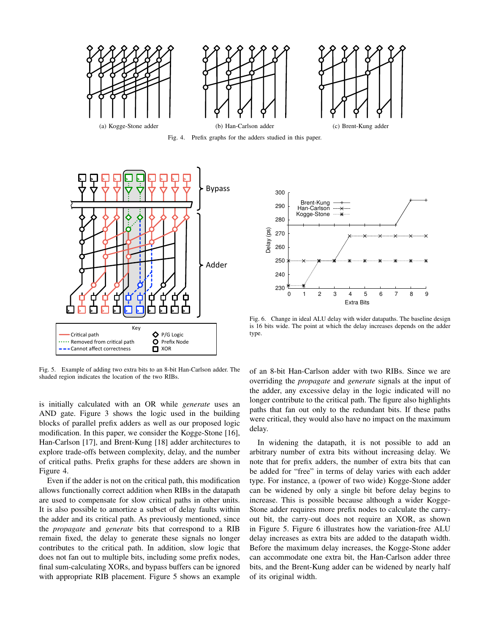



Fig. 5. Example of adding two extra bits to an 8-bit Han-Carlson adder. The shaded region indicates the location of the two RIBs.

is initially calculated with an OR while *generate* uses an AND gate. Figure 3 shows the logic used in the building blocks of parallel prefix adders as well as our proposed logic modification. In this paper, we consider the Kogge-Stone [16], Han-Carlson [17], and Brent-Kung [18] adder architectures to explore trade-offs between complexity, delay, and the number of critical paths. Prefix graphs for these adders are shown in Figure 4.

Even if the adder is not on the critical path, this modification allows functionally correct addition when RIBs in the datapath are used to compensate for slow critical paths in other units. It is also possible to amortize a subset of delay faults within the adder and its critical path. As previously mentioned, since the *propagate* and *generate* bits that correspond to a RIB remain fixed, the delay to generate these signals no longer contributes to the critical path. In addition, slow logic that does not fan out to multiple bits, including some prefix nodes, final sum-calculating XORs, and bypass buffers can be ignored with appropriate RIB placement. Figure 5 shows an example



Fig. 6. Change in ideal ALU delay with wider datapaths. The baseline design is 16 bits wide. The point at which the delay increases depends on the adder type.

of an 8-bit Han-Carlson adder with two RIBs. Since we are overriding the *propagate* and *generate* signals at the input of the adder, any excessive delay in the logic indicated will no longer contribute to the critical path. The figure also highlights paths that fan out only to the redundant bits. If these paths were critical, they would also have no impact on the maximum delay.

In widening the datapath, it is not possible to add an arbitrary number of extra bits without increasing delay. We note that for prefix adders, the number of extra bits that can be added for "free" in terms of delay varies with each adder type. For instance, a (power of two wide) Kogge-Stone adder can be widened by only a single bit before delay begins to increase. This is possible because although a wider Kogge-Stone adder requires more prefix nodes to calculate the carryout bit, the carry-out does not require an XOR, as shown in Figure 5. Figure 6 illustrates how the variation-free ALU delay increases as extra bits are added to the datapath width. Before the maximum delay increases, the Kogge-Stone adder can accommodate one extra bit, the Han-Carlson adder three bits, and the Brent-Kung adder can be widened by nearly half of its original width.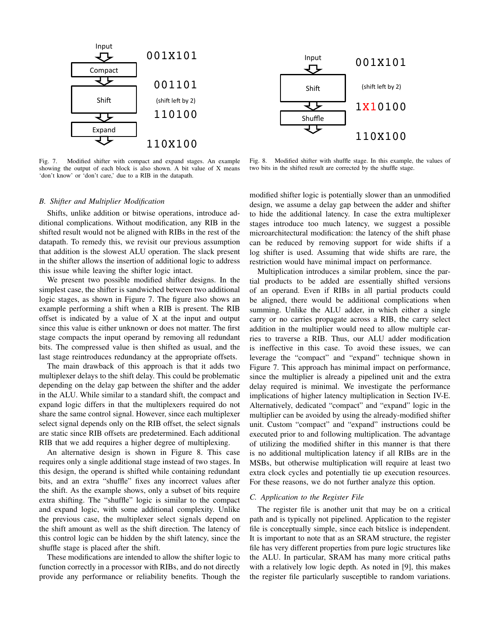

Fig. 7. Modified shifter with compact and expand stages. An example showing the output of each block is also shown. A bit value of X means 'don't know' or 'don't care,' due to a RIB in the datapath.



Fig. 8. Modified shifter with shuffle stage. In this example, the values of two bits in the shifted result are corrected by the shuffle stage.

#### *B. Shifter and Multiplier Modification*

Shifts, unlike addition or bitwise operations, introduce additional complications. Without modification, any RIB in the shifted result would not be aligned with RIBs in the rest of the datapath. To remedy this, we revisit our previous assumption that addition is the slowest ALU operation. The slack present in the shifter allows the insertion of additional logic to address this issue while leaving the shifter logic intact.

We present two possible modified shifter designs. In the simplest case, the shifter is sandwiched between two additional logic stages, as shown in Figure 7. The figure also shows an example performing a shift when a RIB is present. The RIB offset is indicated by a value of X at the input and output since this value is either unknown or does not matter. The first stage compacts the input operand by removing all redundant bits. The compressed value is then shifted as usual, and the last stage reintroduces redundancy at the appropriate offsets.

The main drawback of this approach is that it adds two multiplexer delays to the shift delay. This could be problematic depending on the delay gap between the shifter and the adder in the ALU. While similar to a standard shift, the compact and expand logic differs in that the multiplexers required do not share the same control signal. However, since each multiplexer select signal depends only on the RIB offset, the select signals are static since RIB offsets are predetermined. Each additional RIB that we add requires a higher degree of multiplexing.

An alternative design is shown in Figure 8. This case requires only a single additional stage instead of two stages. In this design, the operand is shifted while containing redundant bits, and an extra "shuffle" fixes any incorrect values after the shift. As the example shows, only a subset of bits require extra shifting. The "shuffle" logic is similar to the compact and expand logic, with some additional complexity. Unlike the previous case, the multiplexer select signals depend on the shift amount as well as the shift direction. The latency of this control logic can be hidden by the shift latency, since the shuffle stage is placed after the shift.

These modifications are intended to allow the shifter logic to function correctly in a processor with RIBs, and do not directly provide any performance or reliability benefits. Though the modified shifter logic is potentially slower than an unmodified design, we assume a delay gap between the adder and shifter to hide the additional latency. In case the extra multiplexer stages introduce too much latency, we suggest a possible microarchitectural modification: the latency of the shift phase can be reduced by removing support for wide shifts if a log shifter is used. Assuming that wide shifts are rare, the restriction would have minimal impact on performance.

Multiplication introduces a similar problem, since the partial products to be added are essentially shifted versions of an operand. Even if RIBs in all partial products could be aligned, there would be additional complications when summing. Unlike the ALU adder, in which either a single carry or no carries propagate across a RIB, the carry select addition in the multiplier would need to allow multiple carries to traverse a RIB. Thus, our ALU adder modification is ineffective in this case. To avoid these issues, we can leverage the "compact" and "expand" technique shown in Figure 7. This approach has minimal impact on performance, since the multiplier is already a pipelined unit and the extra delay required is minimal. We investigate the performance implications of higher latency multiplication in Section IV-E. Alternatively, dedicated "compact" and "expand" logic in the multiplier can be avoided by using the already-modified shifter unit. Custom "compact" and "expand" instructions could be executed prior to and following multiplication. The advantage of utilizing the modified shifter in this manner is that there is no additional multiplication latency if all RIBs are in the MSBs, but otherwise multiplication will require at least two extra clock cycles and potentially tie up execution resources. For these reasons, we do not further analyze this option.

## *C. Application to the Register File*

The register file is another unit that may be on a critical path and is typically not pipelined. Application to the register file is conceptually simple, since each bitslice is independent. It is important to note that as an SRAM structure, the register file has very different properties from pure logic structures like the ALU. In particular, SRAM has many more critical paths with a relatively low logic depth. As noted in [9], this makes the register file particularly susceptible to random variations.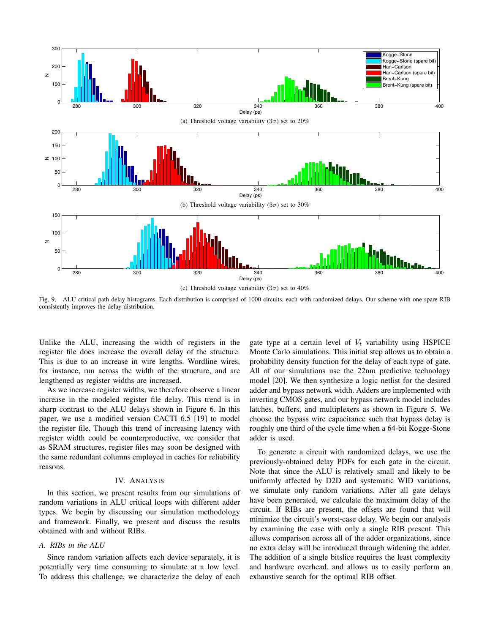

Fig. 9. ALU critical path delay histograms. Each distribution is comprised of 1000 circuits, each with randomized delays. Our scheme with one spare RIB consistently improves the delay distribution.

Unlike the ALU, increasing the width of registers in the register file does increase the overall delay of the structure. This is due to an increase in wire lengths. Wordline wires, for instance, run across the width of the structure, and are lengthened as register widths are increased.

As we increase register widths, we therefore observe a linear increase in the modeled register file delay. This trend is in sharp contrast to the ALU delays shown in Figure 6. In this paper, we use a modified version CACTI 6.5 [19] to model the register file. Though this trend of increasing latency with register width could be counterproductive, we consider that as SRAM structures, register files may soon be designed with the same redundant columns employed in caches for reliability reasons.

# IV. ANALYSIS

In this section, we present results from our simulations of random variations in ALU critical loops with different adder types. We begin by discussing our simulation methodology and framework. Finally, we present and discuss the results obtained with and without RIBs.

#### *A. RIBs in the ALU*

Since random variation affects each device separately, it is potentially very time consuming to simulate at a low level. To address this challenge, we characterize the delay of each gate type at a certain level of  $V_t$  variability using HSPICE Monte Carlo simulations. This initial step allows us to obtain a probability density function for the delay of each type of gate. All of our simulations use the 22nm predictive technology model [20]. We then synthesize a logic netlist for the desired adder and bypass network width. Adders are implemented with inverting CMOS gates, and our bypass network model includes latches, buffers, and multiplexers as shown in Figure 5. We choose the bypass wire capacitance such that bypass delay is roughly one third of the cycle time when a 64-bit Kogge-Stone adder is used.

To generate a circuit with randomized delays, we use the previously-obtained delay PDFs for each gate in the circuit. Note that since the ALU is relatively small and likely to be uniformly affected by D2D and systematic WID variations, we simulate only random variations. After all gate delays have been generated, we calculate the maximum delay of the circuit. If RIBs are present, the offsets are found that will minimize the circuit's worst-case delay. We begin our analysis by examining the case with only a single RIB present. This allows comparison across all of the adder organizations, since no extra delay will be introduced through widening the adder. The addition of a single bitslice requires the least complexity and hardware overhead, and allows us to easily perform an exhaustive search for the optimal RIB offset.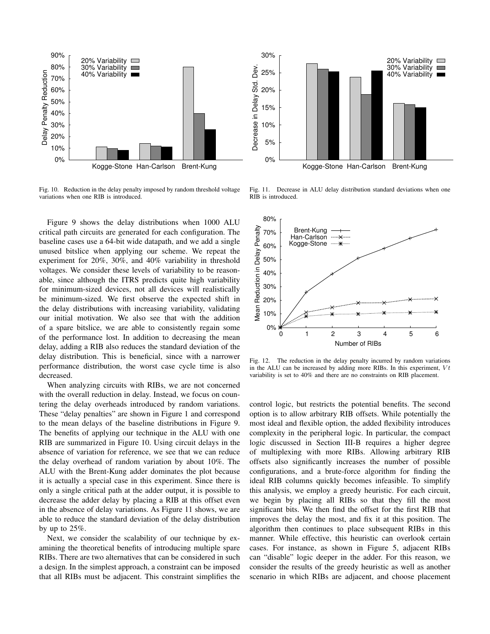

Fig. 10. Reduction in the delay penalty imposed by random threshold voltage variations when one RIB is introduced.

Figure 9 shows the delay distributions when 1000 ALU critical path circuits are generated for each configuration. The baseline cases use a 64-bit wide datapath, and we add a single unused bitslice when applying our scheme. We repeat the experiment for 20%, 30%, and 40% variability in threshold voltages. We consider these levels of variability to be reasonable, since although the ITRS predicts quite high variability for minimum-sized devices, not all devices will realistically be minimum-sized. We first observe the expected shift in the delay distributions with increasing variability, validating our initial motivation. We also see that with the addition of a spare bitslice, we are able to consistently regain some of the performance lost. In addition to decreasing the mean delay, adding a RIB also reduces the standard deviation of the delay distribution. This is beneficial, since with a narrower performance distribution, the worst case cycle time is also decreased.

When analyzing circuits with RIBs, we are not concerned with the overall reduction in delay. Instead, we focus on countering the delay overheads introduced by random variations. These "delay penalties" are shown in Figure 1 and correspond to the mean delays of the baseline distributions in Figure 9. The benefits of applying our technique in the ALU with one RIB are summarized in Figure 10. Using circuit delays in the absence of variation for reference, we see that we can reduce the delay overhead of random variation by about 10%. The ALU with the Brent-Kung adder dominates the plot because it is actually a special case in this experiment. Since there is only a single critical path at the adder output, it is possible to decrease the adder delay by placing a RIB at this offset even in the absence of delay variations. As Figure 11 shows, we are able to reduce the standard deviation of the delay distribution by up to 25%.

Next, we consider the scalability of our technique by examining the theoretical benefits of introducing multiple spare RIBs. There are two alternatives that can be considered in such a design. In the simplest approach, a constraint can be imposed that all RIBs must be adjacent. This constraint simplifies the



Fig. 11. Decrease in ALU delay distribution standard deviations when one RIB is introduced.



Fig. 12. The reduction in the delay penalty incurred by random variations in the ALU can be increased by adding more RIBs. In this experiment,  $Vt$ variability is set to 40% and there are no constraints on RIB placement.

control logic, but restricts the potential benefits. The second option is to allow arbitrary RIB offsets. While potentially the most ideal and flexible option, the added flexibility introduces complexity in the peripheral logic. In particular, the compact logic discussed in Section III-B requires a higher degree of multiplexing with more RIBs. Allowing arbitrary RIB offsets also significantly increases the number of possible configurations, and a brute-force algorithm for finding the ideal RIB columns quickly becomes infeasible. To simplify this analysis, we employ a greedy heuristic. For each circuit, we begin by placing all RIBs so that they fill the most significant bits. We then find the offset for the first RIB that improves the delay the most, and fix it at this position. The algorithm then continues to place subsequent RIBs in this manner. While effective, this heuristic can overlook certain cases. For instance, as shown in Figure 5, adjacent RIBs can "disable" logic deeper in the adder. For this reason, we consider the results of the greedy heuristic as well as another scenario in which RIBs are adjacent, and choose placement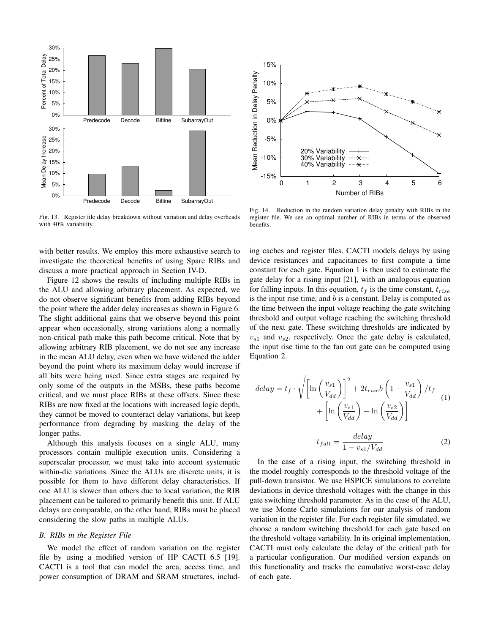

Fig. 13. Register file delay breakdown without variation and delay overheads with 40% variability.

with better results. We employ this more exhaustive search to investigate the theoretical benefits of using Spare RIBs and discuss a more practical approach in Section IV-D.

Figure 12 shows the results of including multiple RIBs in the ALU and allowing arbitrary placement. As expected, we do not observe significant benefits from adding RIBs beyond the point where the adder delay increases as shown in Figure 6. The slight additional gains that we observe beyond this point appear when occasionally, strong variations along a normally non-critical path make this path become critical. Note that by allowing arbitrary RIB placement, we do not see any increase in the mean ALU delay, even when we have widened the adder beyond the point where its maximum delay would increase if all bits were being used. Since extra stages are required by only some of the outputs in the MSBs, these paths become critical, and we must place RIBs at these offsets. Since these RIBs are now fixed at the locations with increased logic depth, they cannot be moved to counteract delay variations, but keep performance from degrading by masking the delay of the longer paths.

Although this analysis focuses on a single ALU, many processors contain multiple execution units. Considering a superscalar processor, we must take into account systematic within-die variations. Since the ALUs are discrete units, it is possible for them to have different delay characteristics. If one ALU is slower than others due to local variation, the RIB placement can be tailored to primarily benefit this unit. If ALU delays are comparable, on the other hand, RIBs must be placed considering the slow paths in multiple ALUs.

### *B. RIBs in the Register File*

We model the effect of random variation on the register file by using a modified version of HP CACTI 6.5 [19]. CACTI is a tool that can model the area, access time, and power consumption of DRAM and SRAM structures, includ-



Fig. 14. Reduction in the random variation delay penalty with RIBs in the register file. We see an optimal number of RIBs in terms of the observed benefits.

ing caches and register files. CACTI models delays by using device resistances and capacitances to first compute a time constant for each gate. Equation 1 is then used to estimate the gate delay for a rising input [21], with an analogous equation for falling inputs. In this equation,  $t_f$  is the time constant,  $t_{rise}$ is the input rise time, and  $b$  is a constant. Delay is computed as the time between the input voltage reaching the gate switching threshold and output voltage reaching the switching threshold of the next gate. These switching thresholds are indicated by  $v_{s1}$  and  $v_{s2}$ , respectively. Once the gate delay is calculated, the input rise time to the fan out gate can be computed using Equation 2.

$$
delay = t_f \cdot \sqrt{\left[\ln\left(\frac{v_{s1}}{V_{dd}}\right)\right]^2 + 2t_{rise}b\left(1 - \frac{v_{s1}}{V_{dd}}\right)/t_f}
$$

$$
+ \left[\ln\left(\frac{v_{s1}}{V_{dd}}\right) - \ln\left(\frac{v_{s2}}{V_{dd}}\right)\right]
$$

$$
t_{fall} = \frac{delay}{1 - v_{s1}/V_{dd}}
$$
 (2)

In the case of a rising input, the switching threshold in the model roughly corresponds to the threshold voltage of the pull-down transistor. We use HSPICE simulations to correlate deviations in device threshold voltages with the change in this gate switching threshold parameter. As in the case of the ALU, we use Monte Carlo simulations for our analysis of random variation in the register file. For each register file simulated, we choose a random switching threshold for each gate based on the threshold voltage variability. In its original implementation, CACTI must only calculate the delay of the critical path for a particular configuration. Our modified version expands on this functionality and tracks the cumulative worst-case delay of each gate.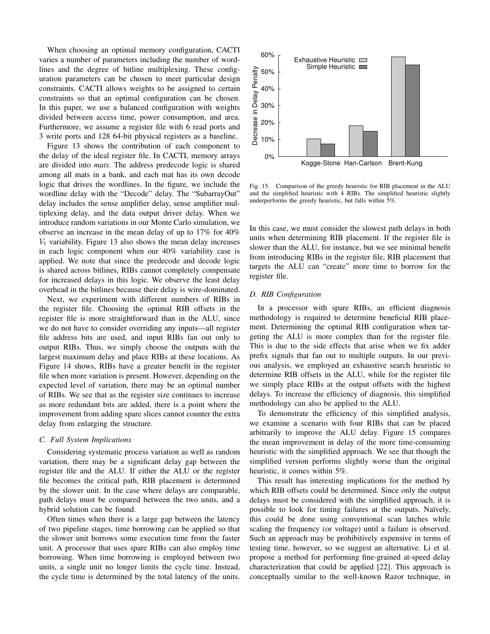When choosing an optimal memory configuration, CACTI varies a number of parameters including the number of wordlines and the degree of bitline multiplexing. These configuration parameters can be chosen to meet particular design constraints. CACTI allows weights to be assigned to certain constraints so that an optimal configuration can be chosen. In this paper, we use a balanced configuration with weights divided between access time, power consumption, and area. Furthermore, we assume a register file with 6 read ports and 3 write ports and 128 64-bit physical registers as a baseline.

Figure 13 shows the contribution of each component to the delay of the ideal register file. In CACTI, memory arrays are divided into *mats*. The address predecode logic is shared among all mats in a bank, and each mat has its own decode logic that drives the wordlines. In the figure, we include the wordline delay with the "Decode" delay. The "SubarrayOut" delay includes the sense amplifier delay, sense amplifier multiplexing delay, and the data output driver delay. When we introduce random variations in our Monte Carlo simulation, we observe an increase in the mean delay of up to 17% for 40%  $V_t$  variability. Figure 13 also shows the mean delay increases in each logic component when our 40% variability case is applied. We note that since the predecode and decode logic is shared across bitlines, RIBs cannot completely compensate for increased delays in this logic. We observe the least delay overhead in the bitlines because their delay is wire-dominated.

Next, we experiment with different numbers of RIBs in the register file. Choosing the optimal RIB offsets in the register file is more straightforward than in the ALU, since we do not have to consider overriding any inputs—all register file address bits are used, and input RIBs fan out only to output RIBs. Thus, we simply choose the outputs with the largest maximum delay and place RIBs at these locations. As Figure 14 shows, RIBs have a greater benefit in the register file when more variation is present. However, depending on the expected level of variation, there may be an optimal number of RIBs. We see that as the register size continues to increase as more redundant bits are added, there is a point where the improvement from adding spare slices cannot counter the extra delay from enlarging the structure.

## *C. Full System Implications*

Considering systematic process variation as well as random variation, there may be a significant delay gap between the register file and the ALU. If either the ALU or the register file becomes the critical path, RIB placement is determined by the slower unit. In the case where delays are comparable, path delays must be compared between the two units, and a hybrid solution can be found.

Often times when there is a large gap between the latency of two pipeline stages, time borrowing can be applied so that the slower unit borrows some execution time from the faster unit. A processor that uses spare RIBs can also employ time borrowing. When time borrowing is employed between two units, a single unit no longer limits the cycle time. Instead, the cycle time is determined by the total latency of the units.



Fig. 15. Comparison of the greedy heuristic for RIB placement in the ALU and the simplified heuristic with 4 RIBs. The simplified heuristic slightly underperforms the greedy heuristic, but falls within 5%.

In this case, we must consider the slowest path delays in both units when determining RIB placement. If the register file is slower than the ALU, for instance, but we see minimal benefit from introducing RIBs in the register file, RIB placement that targets the ALU can "create" more time to borrow for the register file.

#### *D. RIB Configuration*

In a processor with spare RIBs, an efficient diagnosis methodology is required to determine beneficial RIB placement. Determining the optimal RIB configuration when targeting the ALU is more complex than for the register file. This is due to the side effects that arise when we fix adder prefix signals that fan out to multiple outputs. In our previous analysis, we employed an exhaustive search heuristic to determine RIB offsets in the ALU, while for the register file we simply place RIBs at the output offsets with the highest delays. To increase the efficiency of diagnosis, this simplified methodology can also be applied to the ALU.

To demonstrate the efficiency of this simplified analysis, we examine a scenario with four RIBs that can be placed arbitrarily to improve the ALU delay. Figure 15 compares the mean improvement in delay of the more time-consuming heuristic with the simplified approach. We see that though the simplified version performs slightly worse than the original heuristic, it comes within 5%.

This result has interesting implications for the method by which RIB offsets could be determined. Since only the output delays must be considered with the simplified approach, it is possible to look for timing failures at the outputs. Naïvely, this could be done using conventional scan latches while scaling the frequency (or voltage) until a failure is observed. Such an approach may be prohibitively expensive in terms of testing time, however, so we suggest an alternative. Li et al. propose a method for performing fine-grained at-speed delay characterization that could be applied [22]. This approach is conceptually similar to the well-known Razor technique, in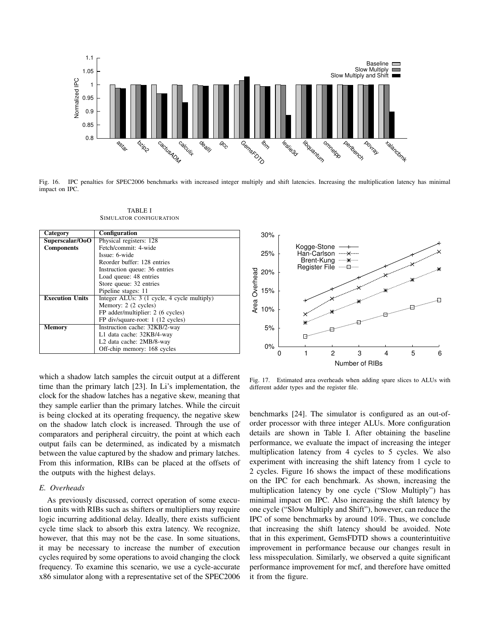

Fig. 16. IPC penalties for SPEC2006 benchmarks with increased integer multiply and shift latencies. Increasing the multiplication latency has minimal impact on IPC.

| Category                       | Configuration                               |
|--------------------------------|---------------------------------------------|
| Superscalar/ $\overline{O_0O}$ | Physical registers: 128                     |
| <b>Components</b>              | Fetch/commit: 4-wide                        |
|                                | Issue: 6-wide                               |
|                                | Reorder buffer: 128 entries                 |
|                                | Instruction queue: 36 entries               |
|                                | Load queue: 48 entries                      |
|                                | Store queue: 32 entries                     |
|                                | Pipeline stages: 11                         |
| <b>Execution Units</b>         | Integer ALUs: 3 (1 cycle, 4 cycle multiply) |
|                                | Memory: 2 (2 cycles)                        |
|                                | FP adder/multiplier: 2 (6 cycles)           |
|                                | FP div/square-root: 1 (12 cycles)           |
| Memory                         | Instruction cache: 32KB/2-way               |
|                                | L1 data cache: 32KB/4-way                   |
|                                | L <sub>2</sub> data cache: 2MB/8-way        |
|                                | Off-chip memory: 168 cycles                 |

TABLE I SIMULATOR CONFIGURATION



which a shadow latch samples the circuit output at a different time than the primary latch [23]. In Li's implementation, the clock for the shadow latches has a negative skew, meaning that they sample earlier than the primary latches. While the circuit is being clocked at its operating frequency, the negative skew on the shadow latch clock is increased. Through the use of comparators and peripheral circuitry, the point at which each output fails can be determined, as indicated by a mismatch between the value captured by the shadow and primary latches. From this information, RIBs can be placed at the offsets of the outputs with the highest delays.

## *E. Overheads*

As previously discussed, correct operation of some execution units with RIBs such as shifters or multipliers may require logic incurring additional delay. Ideally, there exists sufficient cycle time slack to absorb this extra latency. We recognize, however, that this may not be the case. In some situations, it may be necessary to increase the number of execution cycles required by some operations to avoid changing the clock frequency. To examine this scenario, we use a cycle-accurate x86 simulator along with a representative set of the SPEC2006

Fig. 17. Estimated area overheads when adding spare slices to ALUs with different adder types and the register file.

benchmarks [24]. The simulator is configured as an out-oforder processor with three integer ALUs. More configuration details are shown in Table I. After obtaining the baseline performance, we evaluate the impact of increasing the integer multiplication latency from 4 cycles to 5 cycles. We also experiment with increasing the shift latency from 1 cycle to 2 cycles. Figure 16 shows the impact of these modifications on the IPC for each benchmark. As shown, increasing the multiplication latency by one cycle ("Slow Multiply") has minimal impact on IPC. Also increasing the shift latency by one cycle ("Slow Multiply and Shift"), however, can reduce the IPC of some benchmarks by around 10%. Thus, we conclude that increasing the shift latency should be avoided. Note that in this experiment, GemsFDTD shows a counterintuitive improvement in performance because our changes result in less misspeculation. Similarly, we observed a quite significant performance improvement for mcf, and therefore have omitted it from the figure.